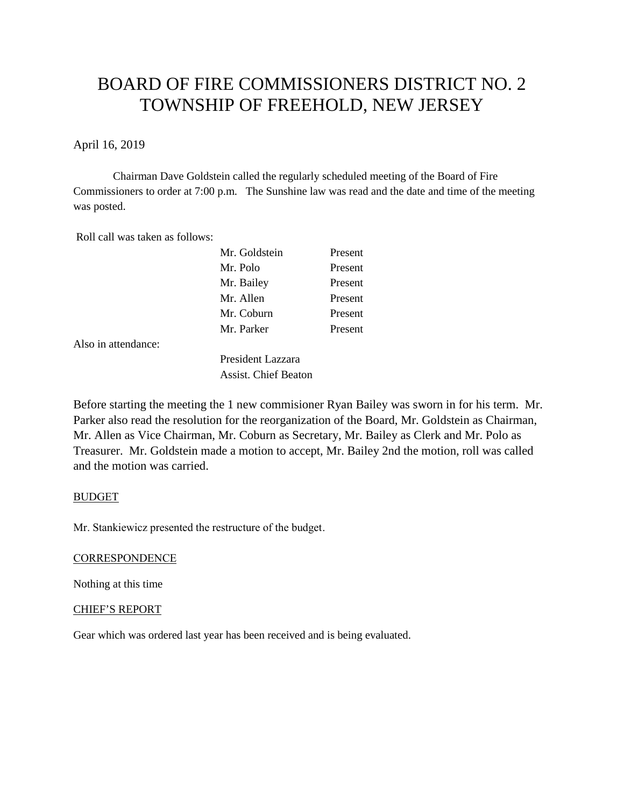# BOARD OF FIRE COMMISSIONERS DISTRICT NO. 2 TOWNSHIP OF FREEHOLD, NEW JERSEY

April 16, 2019

Chairman Dave Goldstein called the regularly scheduled meeting of the Board of Fire Commissioners to order at 7:00 p.m. The Sunshine law was read and the date and time of the meeting was posted.

Roll call was taken as follows:

| Mr. Goldstein | Present |
|---------------|---------|
| Mr. Polo      | Present |
| Mr. Bailey    | Present |
| Mr. Allen     | Present |
| Mr. Coburn    | Present |
| Mr Parker     | Present |

Also in attendance:

President Lazzara Assist. Chief Beaton

Before starting the meeting the 1 new commisioner Ryan Bailey was sworn in for his term. Mr. Parker also read the resolution for the reorganization of the Board, Mr. Goldstein as Chairman, Mr. Allen as Vice Chairman, Mr. Coburn as Secretary, Mr. Bailey as Clerk and Mr. Polo as Treasurer. Mr. Goldstein made a motion to accept, Mr. Bailey 2nd the motion, roll was called and the motion was carried.

## BUDGET

Mr. Stankiewicz presented the restructure of the budget.

#### **CORRESPONDENCE**

Nothing at this time

#### CHIEF'S REPORT

Gear which was ordered last year has been received and is being evaluated.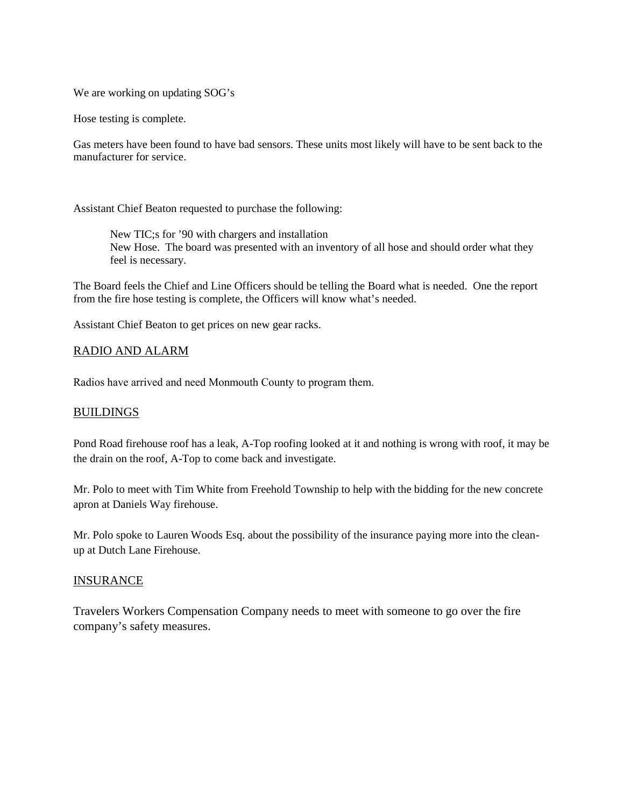We are working on updating SOG's

Hose testing is complete.

Gas meters have been found to have bad sensors. These units most likely will have to be sent back to the manufacturer for service.

Assistant Chief Beaton requested to purchase the following:

New TIC;s for '90 with chargers and installation New Hose. The board was presented with an inventory of all hose and should order what they feel is necessary.

The Board feels the Chief and Line Officers should be telling the Board what is needed. One the report from the fire hose testing is complete, the Officers will know what's needed.

Assistant Chief Beaton to get prices on new gear racks.

## RADIO AND ALARM

Radios have arrived and need Monmouth County to program them.

## BUILDINGS

Pond Road firehouse roof has a leak, A-Top roofing looked at it and nothing is wrong with roof, it may be the drain on the roof, A-Top to come back and investigate.

Mr. Polo to meet with Tim White from Freehold Township to help with the bidding for the new concrete apron at Daniels Way firehouse.

Mr. Polo spoke to Lauren Woods Esq. about the possibility of the insurance paying more into the clean up at Dutch Lane Firehouse.

## INSURANCE

Travelers Workers Compensation Company needs to meet with someone to go over the fire company's safety measures.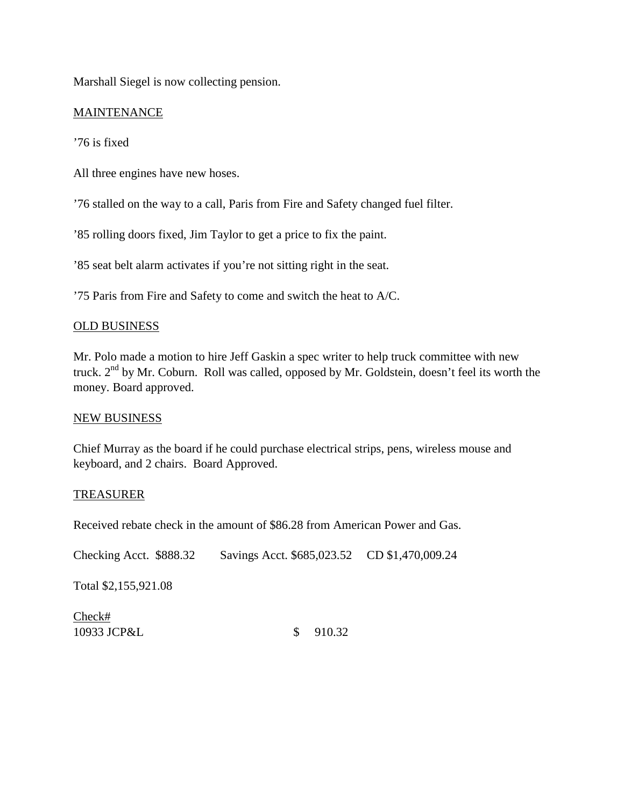Marshall Siegel is now collecting pension.

# **MAINTENANCE**

'76 is fixed

All three engines have new hoses.

'76 stalled on the way to a call, Paris from Fire and Safety changed fuel filter.

'85 rolling doors fixed, Jim Taylor to get a price to fix the paint.

'85 seat belt alarm activates if you're not sitting right in the seat.

'75 Paris from Fire and Safety to come and switch the heat to A/C.

## OLD BUSINESS

Mr. Polo made a motion to hire Jeff Gaskin a spec writer to help truck committee with new truck. 2<sup>nd</sup> by Mr. Coburn. Roll was called, opposed by Mr. Goldstein, doesn't feel its worth the money. Board approved.

## NEW BUSINESS

Chief Murray as the board if he could purchase electrical strips, pens, wireless mouse and keyboard, and 2 chairs. Board Approved.

## TREASURER

Received rebate check in the amount of \$86.28 from American Power and Gas.

Checking Acct. \$888.32 Savings Acct. \$685,023.52 CD \$1,470,009.24

Total \$2,155,921.08

Check# 10933 JCP&L \$ 910.32